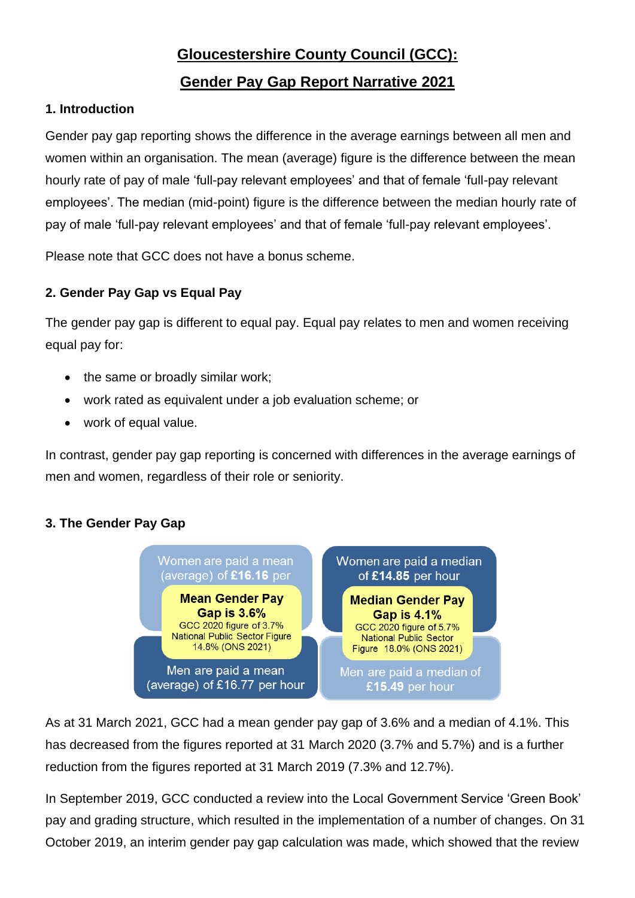# **Gloucestershire County Council (GCC):**

## **Gender Pay Gap Report Narrative 2021**

### **1. Introduction**

Gender pay gap reporting shows the difference in the average earnings between all men and women within an organisation. The mean (average) figure is the difference between the mean hourly rate of pay of male 'full-pay relevant employees' and that of female 'full-pay relevant employees'. The median (mid-point) figure is the difference between the median hourly rate of pay of male 'full-pay relevant employees' and that of female 'full-pay relevant employees'.

Please note that GCC does not have a bonus scheme.

### **2. Gender Pay Gap vs Equal Pay**

The gender pay gap is different to equal pay. Equal pay relates to men and women receiving equal pay for:

- the same or broadly similar work;
- work rated as equivalent under a job evaluation scheme; or
- work of equal value.

In contrast, gender pay gap reporting is concerned with differences in the average earnings of men and women, regardless of their role or seniority.

### **3. The Gender Pay Gap**



As at 31 March 2021, GCC had a mean gender pay gap of 3.6% and a median of 4.1%. This has decreased from the figures reported at 31 March 2020 (3.7% and 5.7%) and is a further reduction from the figures reported at 31 March 2019 (7.3% and 12.7%).

In September 2019, GCC conducted a review into the Local Government Service 'Green Book' pay and grading structure, which resulted in the implementation of a number of changes. On 31 October 2019, an interim gender pay gap calculation was made, which showed that the review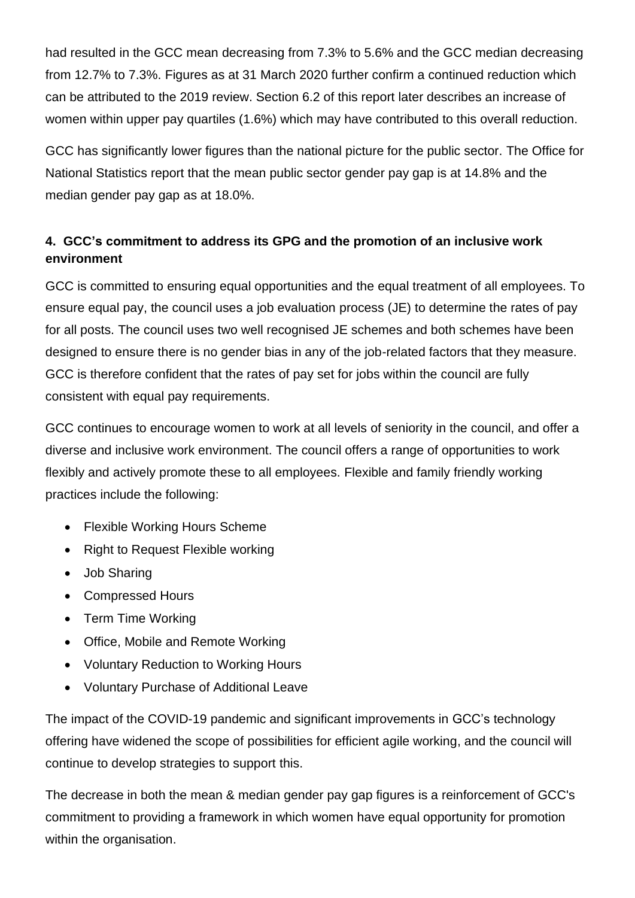had resulted in the GCC mean decreasing from 7.3% to 5.6% and the GCC median decreasing from 12.7% to 7.3%. Figures as at 31 March 2020 further confirm a continued reduction which can be attributed to the 2019 review. Section 6.2 of this report later describes an increase of women within upper pay quartiles (1.6%) which may have contributed to this overall reduction.

GCC has significantly lower figures than the national picture for the public sector. The Office for National Statistics report that the mean public sector gender pay gap is at 14.8% and the median gender pay gap as at 18.0%.

## **4. GCC's commitment to address its GPG and the promotion of an inclusive work environment**

GCC is committed to ensuring equal opportunities and the equal treatment of all employees. To ensure equal pay, the council uses a job evaluation process (JE) to determine the rates of pay for all posts. The council uses two well recognised JE schemes and both schemes have been designed to ensure there is no gender bias in any of the job-related factors that they measure. GCC is therefore confident that the rates of pay set for jobs within the council are fully consistent with equal pay requirements.

GCC continues to encourage women to work at all levels of seniority in the council, and offer a diverse and inclusive work environment. The council offers a range of opportunities to work flexibly and actively promote these to all employees. Flexible and family friendly working practices include the following:

- Flexible Working Hours Scheme
- Right to Request Flexible working
- Job Sharing
- Compressed Hours
- Term Time Working
- Office, Mobile and Remote Working
- Voluntary Reduction to Working Hours
- Voluntary Purchase of Additional Leave

The impact of the COVID-19 pandemic and significant improvements in GCC's technology offering have widened the scope of possibilities for efficient agile working, and the council will continue to develop strategies to support this.

The decrease in both the mean & median gender pay gap figures is a reinforcement of GCC's commitment to providing a framework in which women have equal opportunity for promotion within the organisation.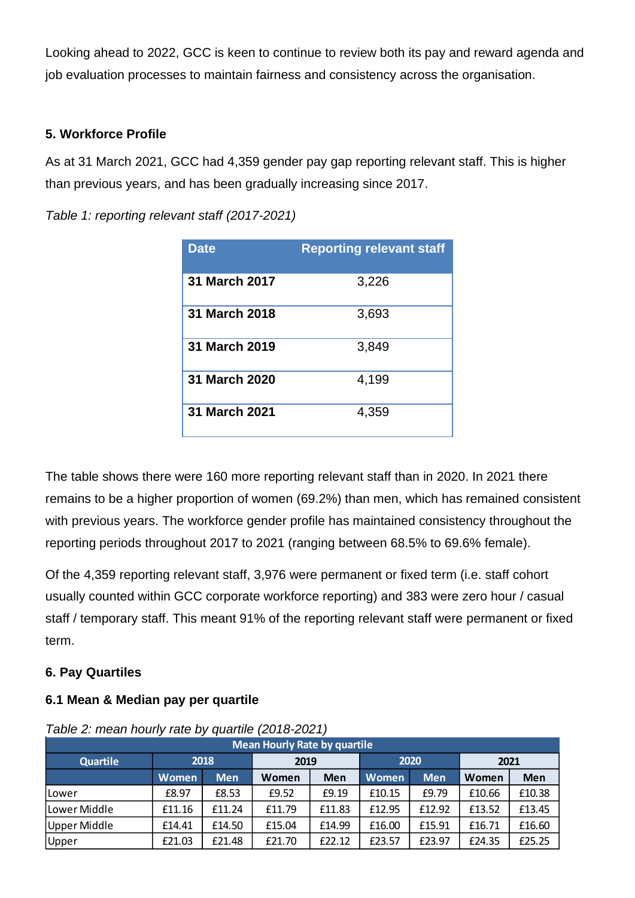Looking ahead to 2022, GCC is keen to continue to review both its pay and reward agenda and job evaluation processes to maintain fairness and consistency across the organisation.

### **5. Workforce Profile**

As at 31 March 2021, GCC had 4,359 gender pay gap reporting relevant staff. This is higher than previous years, and has been gradually increasing since 2017.

*Table 1: reporting relevant staff (2017-2021)*

| <b>Date</b>          | <b>Reporting relevant staff</b> |
|----------------------|---------------------------------|
| 31 March 2017        | 3,226                           |
| 31 March 2018        | 3,693                           |
| 31 March 2019        | 3,849                           |
| <b>31 March 2020</b> | 4,199                           |
| 31 March 2021        | 4,359                           |

The table shows there were 160 more reporting relevant staff than in 2020. In 2021 there remains to be a higher proportion of women (69.2%) than men, which has remained consistent with previous years. The workforce gender profile has maintained consistency throughout the reporting periods throughout 2017 to 2021 (ranging between 68.5% to 69.6% female).

Of the 4,359 reporting relevant staff, 3,976 were permanent or fixed term (i.e. staff cohort usually counted within GCC corporate workforce reporting) and 383 were zero hour / casual staff / temporary staff. This meant 91% of the reporting relevant staff were permanent or fixed term.

### **6. Pay Quartiles**

### **6.1 Mean & Median pay per quartile**

| <b>Mean Hourly Rate by quartile</b> |        |            |              |        |        |            |        |        |  |  |  |
|-------------------------------------|--------|------------|--------------|--------|--------|------------|--------|--------|--|--|--|
| <b>Quartile</b>                     | 2018   |            | 2019         |        | 2020   |            | 2021   |        |  |  |  |
|                                     | Women  | <b>Men</b> | Women<br>Men |        | Women  | <b>Men</b> | Women  | Men    |  |  |  |
| lLower                              | £8.97  | £8.53      | £9.52        | £9.19  | £10.15 | £9.79      | £10.66 | £10.38 |  |  |  |
| Lower Middle                        | £11.16 | £11.24     | £11.79       | £11.83 | £12.95 | £12.92     | £13.52 | £13.45 |  |  |  |
| Upper Middle                        | £14.41 | £14.50     | £15.04       | £14.99 | £16.00 | £15.91     | £16.71 | £16.60 |  |  |  |
| Upper                               | £21.03 | £21.48     | £21.70       | £22.12 | £23.57 | £23.97     | £24.35 | £25.25 |  |  |  |

### *Table 2: mean hourly rate by quartile (2018-2021)*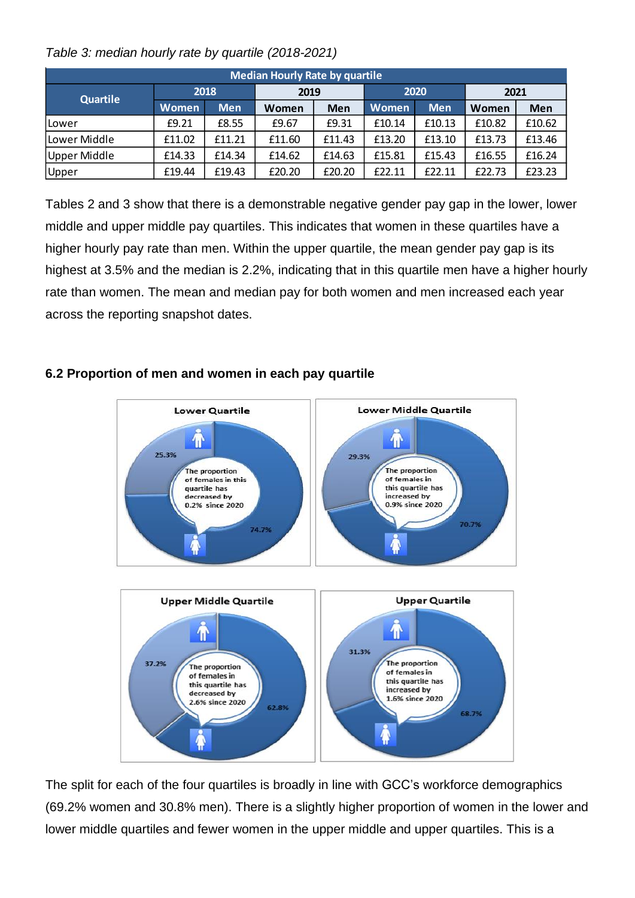| <b>Median Hourly Rate by quartile</b> |              |            |        |        |        |            |        |            |  |  |  |
|---------------------------------------|--------------|------------|--------|--------|--------|------------|--------|------------|--|--|--|
| <b>Quartile</b>                       |              | 2018       | 2019   |        |        | 2020       | 2021   |            |  |  |  |
|                                       | <b>Women</b> | <b>Men</b> | Women  | Men    | Women  | <b>Men</b> | Women  | <b>Men</b> |  |  |  |
| lLower                                | £9.21        | £8.55      | £9.67  | £9.31  | £10.14 | £10.13     | £10.82 | £10.62     |  |  |  |
| Lower Middle                          | £11.02       | £11.21     | £11.60 | £11.43 | £13.20 | £13.10     | £13.73 | £13.46     |  |  |  |
| Upper Middle                          | £14.33       | £14.34     | £14.62 | £14.63 | £15.81 | £15.43     | £16.55 | £16.24     |  |  |  |
| Upper                                 | £19.44       | £19.43     | £20.20 | £20.20 | £22.11 | £22.11     | £22.73 | £23.23     |  |  |  |

*Table 3: median hourly rate by quartile (2018-2021)*

Tables 2 and 3 show that there is a demonstrable negative gender pay gap in the lower, lower middle and upper middle pay quartiles. This indicates that women in these quartiles have a higher hourly pay rate than men. Within the upper quartile, the mean gender pay gap is its highest at 3.5% and the median is 2.2%, indicating that in this quartile men have a higher hourly rate than women. The mean and median pay for both women and men increased each year across the reporting snapshot dates.

#### **Lower Middle Quartile Lower Quartile**  $\bigcap$ Λ 25.3% 29.3% The proportion The proportion of females in of females in this quartile has this quartile has increased by decreased by 0.9% since 2020 0.2% since 2020 70.7% 74.7% **Upper Middle Quartile Upper Quartile** 仆 31.3% 37.2% The proportion The proportion of females in of females in this quartile has this quartile has increased by decreased by 1.6% since 2020 2.6% since 2020 62.8% 68.7%

### **6.2 Proportion of men and women in each pay quartile**

The split for each of the four quartiles is broadly in line with GCC's workforce demographics (69.2% women and 30.8% men). There is a slightly higher proportion of women in the lower and lower middle quartiles and fewer women in the upper middle and upper quartiles. This is a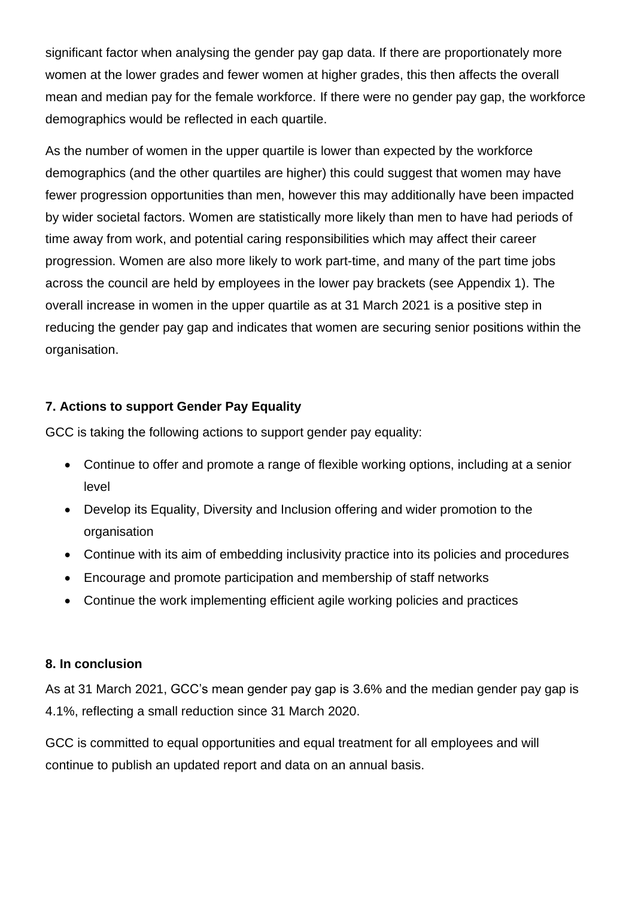significant factor when analysing the gender pay gap data. If there are proportionately more women at the lower grades and fewer women at higher grades, this then affects the overall mean and median pay for the female workforce. If there were no gender pay gap, the workforce demographics would be reflected in each quartile.

As the number of women in the upper quartile is lower than expected by the workforce demographics (and the other quartiles are higher) this could suggest that women may have fewer progression opportunities than men, however this may additionally have been impacted by wider societal factors. Women are statistically more likely than men to have had periods of time away from work, and potential caring responsibilities which may affect their career progression. Women are also more likely to work part-time, and many of the part time jobs across the council are held by employees in the lower pay brackets (see Appendix 1). The overall increase in women in the upper quartile as at 31 March 2021 is a positive step in reducing the gender pay gap and indicates that women are securing senior positions within the organisation.

### **7. Actions to support Gender Pay Equality**

GCC is taking the following actions to support gender pay equality:

- Continue to offer and promote a range of flexible working options, including at a senior level
- Develop its Equality, Diversity and Inclusion offering and wider promotion to the organisation
- Continue with its aim of embedding inclusivity practice into its policies and procedures
- Encourage and promote participation and membership of staff networks
- Continue the work implementing efficient agile working policies and practices

### **8. In conclusion**

As at 31 March 2021, GCC's mean gender pay gap is 3.6% and the median gender pay gap is 4.1%, reflecting a small reduction since 31 March 2020.

GCC is committed to equal opportunities and equal treatment for all employees and will continue to publish an updated report and data on an annual basis.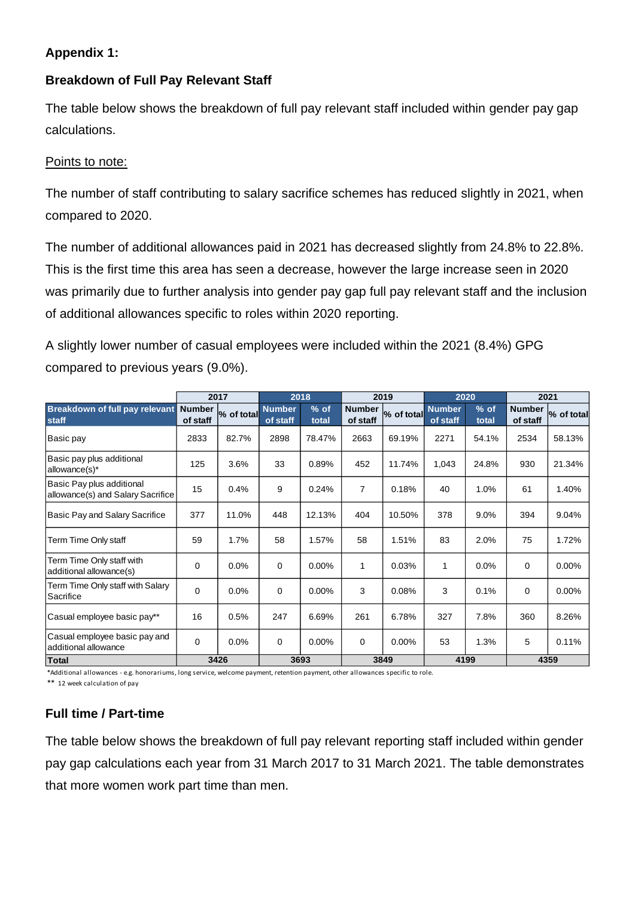### **Appendix 1:**

### **Breakdown of Full Pay Relevant Staff**

The table below shows the breakdown of full pay relevant staff included within gender pay gap calculations.

### Points to note:

The number of staff contributing to salary sacrifice schemes has reduced slightly in 2021, when compared to 2020.

The number of additional allowances paid in 2021 has decreased slightly from 24.8% to 22.8%. This is the first time this area has seen a decrease, however the large increase seen in 2020 was primarily due to further analysis into gender pay gap full pay relevant staff and the inclusion of additional allowances specific to roles within 2020 reporting.

A slightly lower number of casual employees were included within the 2021 (8.4%) GPG compared to previous years (9.0%).

|                                                                | 2017                      |            |                           | 2018            |                           | 2019       |                           | 2020            |                           | 2021       |  |
|----------------------------------------------------------------|---------------------------|------------|---------------------------|-----------------|---------------------------|------------|---------------------------|-----------------|---------------------------|------------|--|
| <b>Breakdown of full pay relevant</b><br>staff                 | <b>Number</b><br>of staff | % of total | <b>Number</b><br>of staff | $%$ of<br>total | <b>Number</b><br>of staff | % of total | <b>Number</b><br>of staff | $%$ of<br>total | <b>Number</b><br>of staff | % of total |  |
| Basic pay                                                      | 2833                      | 82.7%      | 2898                      | 78.47%          | 2663                      | 69.19%     | 2271                      | 54.1%           | 2534                      | 58.13%     |  |
| Basic pay plus additional<br>allowance(s)*                     | 125                       | 3.6%       | 33                        | 0.89%           | 452                       | 11.74%     | 1,043                     | 24.8%           | 930                       | 21.34%     |  |
| Basic Pay plus additional<br>allowance(s) and Salary Sacrifice | 15                        | 0.4%       | 9                         | 0.24%           | 7                         | 0.18%      | 40                        | 1.0%            | 61                        | 1.40%      |  |
| Basic Pay and Salary Sacrifice                                 | 377                       | 11.0%      | 448                       | 12.13%          | 404                       | 10.50%     | 378                       | 9.0%            | 394                       | 9.04%      |  |
| Term Time Only staff                                           | 59                        | 1.7%       | 58                        | 1.57%           | 58                        | 1.51%      | 83                        | 2.0%            | 75                        | 1.72%      |  |
| Term Time Only staff with<br>additional allowance(s)           | 0                         | 0.0%       | 0                         | 0.00%           | 1                         | 0.03%      | $\mathbf{1}$              | 0.0%            | 0                         | 0.00%      |  |
| Term Time Only staff with Salary<br>Sacrifice                  | $\Omega$                  | $0.0\%$    | 0                         | $0.00\%$        | 3                         | 0.08%      | 3                         | 0.1%            | 0                         | $0.00\%$   |  |
| Casual employee basic pay**                                    | 16                        | 0.5%       | 247                       | 6.69%           | 261                       | 6.78%      | 327                       | 7.8%            | 360                       | 8.26%      |  |
| Casual employee basic pay and<br>additional allowance          | $\Omega$                  | 0.0%       | 0                         | 0.00%           | 0                         | 0.00%      | 53                        | 1.3%            | 5                         | 0.11%      |  |
| Total                                                          |                           | 3426       | 3693                      |                 |                           | 3849       | 4199                      |                 |                           | 4359       |  |

\*Additional allowances - e.g. honorariums, long service, welcome payment, retention payment, other allowances specific to role.

\*\* 12 week calculation of pay

### **Full time / Part-time**

The table below shows the breakdown of full pay relevant reporting staff included within gender pay gap calculations each year from 31 March 2017 to 31 March 2021. The table demonstrates that more women work part time than men.